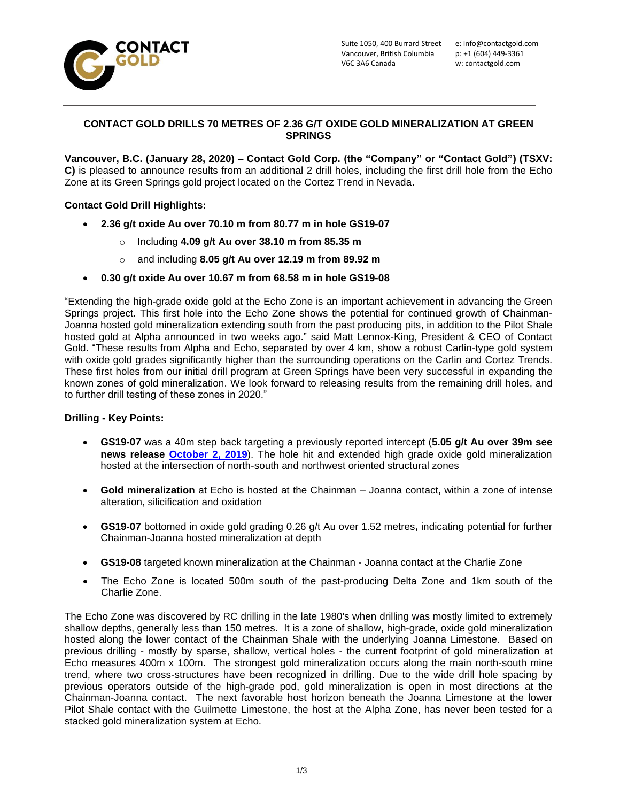

## **CONTACT GOLD DRILLS 70 METRES OF 2.36 G/T OXIDE GOLD MINERALIZATION AT GREEN SPRINGS**

**Vancouver, B.C. (January 28, 2020) – Contact Gold Corp. (the "Company" or "Contact Gold") (TSXV: C)** is pleased to announce results from an additional 2 drill holes, including the first drill hole from the Echo Zone at its Green Springs gold project located on the Cortez Trend in Nevada.

# **Contact Gold Drill Highlights:**

- **2.36 g/t oxide Au over 70.10 m from 80.77 m in hole GS19-07**
	- o Including **4.09 g/t Au over 38.10 m from 85.35 m**
	- o and including **8.05 g/t Au over 12.19 m from 89.92 m**
- **0.30 g/t oxide Au over 10.67 m from 68.58 m in hole GS19-08**

"Extending the high-grade oxide gold at the Echo Zone is an important achievement in advancing the Green Springs project. This first hole into the Echo Zone shows the potential for continued growth of Chainman-Joanna hosted gold mineralization extending south from the past producing pits, in addition to the Pilot Shale hosted gold at Alpha announced in two weeks ago." said Matt Lennox-King, President & CEO of Contact Gold. "These results from Alpha and Echo, separated by over 4 km, show a robust Carlin-type gold system with oxide gold grades significantly higher than the surrounding operations on the Carlin and Cortez Trends. These first holes from our initial drill program at Green Springs have been very successful in expanding the known zones of gold mineralization. We look forward to releasing results from the remaining drill holes, and to further drill testing of these zones in 2020."

### **Drilling - Key Points:**

- **GS19-07** was a 40m step back targeting a previously reported intercept (**5.05 g/t Au over 39m see news release [October 2, 2019](http://www.contactgold.com/_resources/news/nr_20191002.pdf)**). The hole hit and extended high grade oxide gold mineralization hosted at the intersection of north-south and northwest oriented structural zones
- **Gold mineralization** at Echo is hosted at the Chainman Joanna contact, within a zone of intense alteration, silicification and oxidation
- **GS19-07** bottomed in oxide gold grading 0.26 g/t Au over 1.52 metres**,** indicating potential for further Chainman-Joanna hosted mineralization at depth
- **GS19-08** targeted known mineralization at the Chainman Joanna contact at the Charlie Zone
- The Echo Zone is located 500m south of the past-producing Delta Zone and 1km south of the Charlie Zone.

The Echo Zone was discovered by RC drilling in the late 1980's when drilling was mostly limited to extremely shallow depths, generally less than 150 metres. It is a zone of shallow, high-grade, oxide gold mineralization hosted along the lower contact of the Chainman Shale with the underlying Joanna Limestone. Based on previous drilling - mostly by sparse, shallow, vertical holes - the current footprint of gold mineralization at Echo measures 400m x 100m. The strongest gold mineralization occurs along the main north-south mine trend, where two cross-structures have been recognized in drilling. Due to the wide drill hole spacing by previous operators outside of the high-grade pod, gold mineralization is open in most directions at the Chainman-Joanna contact. The next favorable host horizon beneath the Joanna Limestone at the lower Pilot Shale contact with the Guilmette Limestone, the host at the Alpha Zone, has never been tested for a stacked gold mineralization system at Echo.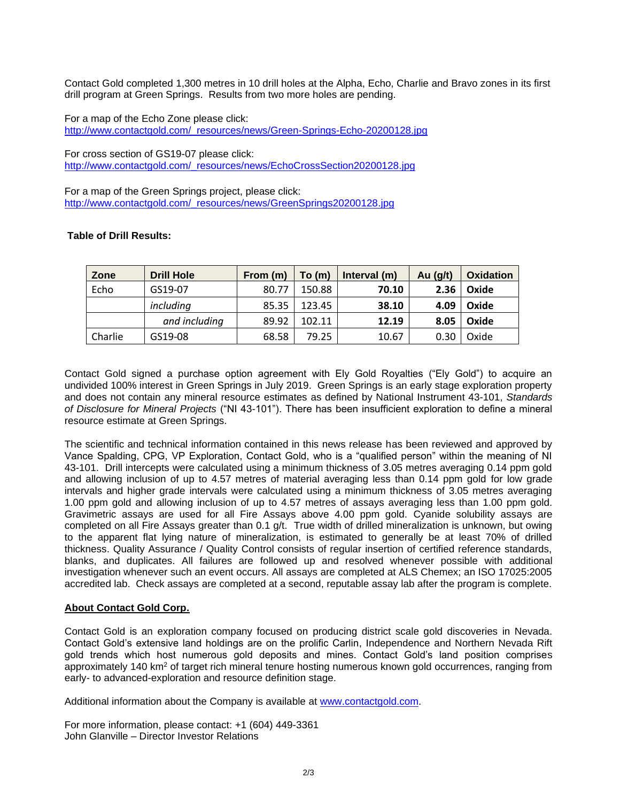Contact Gold completed 1,300 metres in 10 drill holes at the Alpha, Echo, Charlie and Bravo zones in its first drill program at Green Springs. Results from two more holes are pending.

For a map of the Echo Zone please click: http://www.contactgold.com/\_resources/news/Green-Springs-Echo-20200128.jpg

For cross section of GS19-07 please click: http://www.contactgold.com/\_resources/news/EchoCrossSection20200128.jpg

For a map of the Green Springs project, please click: http://www.contactgold.com/\_resources/news/GreenSprings20200128.jpg

### **Table of Drill Results:**

| Zone    | <b>Drill Hole</b> | From (m) | To(m)  | Interval (m) | Au $(g/t)$ | <b>Oxidation</b> |
|---------|-------------------|----------|--------|--------------|------------|------------------|
| Echo    | GS19-07           | 80.77    | 150.88 | 70.10        | 2.36       | Oxide            |
|         | including         | 85.35    | 123.45 | 38.10        | 4.09       | Oxide            |
|         | and including     | 89.92    | 102.11 | 12.19        | 8.05       | Oxide            |
| Charlie | GS19-08           | 68.58    | 79.25  | 10.67        | 0.30       | Oxide            |

Contact Gold signed a purchase option agreement with Ely Gold Royalties ("Ely Gold") to acquire an undivided 100% interest in Green Springs in July 2019. Green Springs is an early stage exploration property and does not contain any mineral resource estimates as defined by National Instrument 43-101, *Standards of Disclosure for Mineral Projects* ("NI 43-101"). There has been insufficient exploration to define a mineral resource estimate at Green Springs.

The scientific and technical information contained in this news release has been reviewed and approved by Vance Spalding, CPG, VP Exploration, Contact Gold, who is a "qualified person" within the meaning of NI 43-101. Drill intercepts were calculated using a minimum thickness of 3.05 metres averaging 0.14 ppm gold and allowing inclusion of up to 4.57 metres of material averaging less than 0.14 ppm gold for low grade intervals and higher grade intervals were calculated using a minimum thickness of 3.05 metres averaging 1.00 ppm gold and allowing inclusion of up to 4.57 metres of assays averaging less than 1.00 ppm gold. Gravimetric assays are used for all Fire Assays above 4.00 ppm gold. Cyanide solubility assays are completed on all Fire Assays greater than 0.1 g/t. True width of drilled mineralization is unknown, but owing to the apparent flat lying nature of mineralization, is estimated to generally be at least 70% of drilled thickness. Quality Assurance / Quality Control consists of regular insertion of certified reference standards, blanks, and duplicates. All failures are followed up and resolved whenever possible with additional investigation whenever such an event occurs. All assays are completed at ALS Chemex; an ISO 17025:2005 accredited lab. Check assays are completed at a second, reputable assay lab after the program is complete.

#### **About Contact Gold Corp.**

Contact Gold is an exploration company focused on producing district scale gold discoveries in Nevada. Contact Gold's extensive land holdings are on the prolific Carlin, Independence and Northern Nevada Rift gold trends which host numerous gold deposits and mines. Contact Gold's land position comprises approximately 140 km<sup>2</sup> of target rich mineral tenure hosting numerous known gold occurrences, ranging from early- to advanced-exploration and resource definition stage.

Additional information about the Company is available at www.contactgold.com.

For more information, please contact: +1 (604) 449-3361 John Glanville – Director Investor Relations